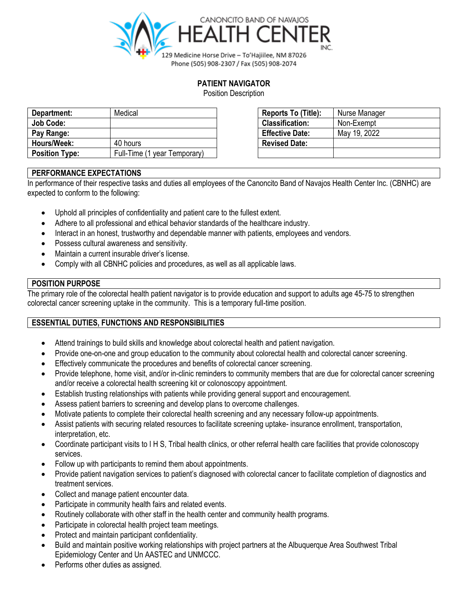

## **PATIENT NAVIGATOR**

Position Description

| Department:           | Medical                      | Reports To (Title):    | Nurse Manager |
|-----------------------|------------------------------|------------------------|---------------|
| Job Code:             |                              | <b>Classification:</b> | Non-Exempt    |
| Pay Range:            |                              | <b>Effective Date:</b> | May 19, 2022  |
| Hours/Week:           | 40 hours                     | <b>Revised Date:</b>   |               |
| <b>Position Type:</b> | Full-Time (1 year Temporary) |                        |               |

| Reports To (Title):    | Nurse Manager |
|------------------------|---------------|
| <b>Classification:</b> | Non-Exempt    |
| <b>Effective Date:</b> | May 19, 2022  |
| <b>Revised Date:</b>   |               |
|                        |               |

# **PERFORMANCE EXPECTATIONS**

In performance of their respective tasks and duties all employees of the Canoncito Band of Navajos Health Center Inc. (CBNHC) are expected to conform to the following:

- Uphold all principles of confidentiality and patient care to the fullest extent.
- Adhere to all professional and ethical behavior standards of the healthcare industry.
- Interact in an honest, trustworthy and dependable manner with patients, employees and vendors.
- Possess cultural awareness and sensitivity.
- Maintain a current insurable driver's license.
- Comply with all CBNHC policies and procedures, as well as all applicable laws.

## **POSITION PURPOSE**

The primary role of the colorectal health patient navigator is to provide education and support to adults age 45-75 to strengthen colorectal cancer screening uptake in the community. This is a temporary full-time position.

## **ESSENTIAL DUTIES, FUNCTIONS AND RESPONSIBILITIES**

- Attend trainings to build skills and knowledge about colorectal health and patient navigation.
- Provide one-on-one and group education to the community about colorectal health and colorectal cancer screening.
- Effectively communicate the procedures and benefits of colorectal cancer screening.
- Provide telephone, home visit, and/or in-clinic reminders to community members that are due for colorectal cancer screening and/or receive a colorectal health screening kit or colonoscopy appointment.
- Establish trusting relationships with patients while providing general support and encouragement.
- Assess patient barriers to screening and develop plans to overcome challenges.
- Motivate patients to complete their colorectal health screening and any necessary follow-up appointments.
- Assist patients with securing related resources to facilitate screening uptake- insurance enrollment, transportation, interpretation, etc.
- Coordinate participant visits to I H S, Tribal health clinics, or other referral health care facilities that provide colonoscopy services.
- Follow up with participants to remind them about appointments.
- Provide patient navigation services to patient's diagnosed with colorectal cancer to facilitate completion of diagnostics and treatment services.
- Collect and manage patient encounter data.
- Participate in community health fairs and related events.
- Routinely collaborate with other staff in the health center and community health programs.
- Participate in colorectal health project team meetings.
- Protect and maintain participant confidentiality.
- Build and maintain positive working relationships with project partners at the Albuquerque Area Southwest Tribal Epidemiology Center and Un AASTEC and UNMCCC.
- Performs other duties as assigned.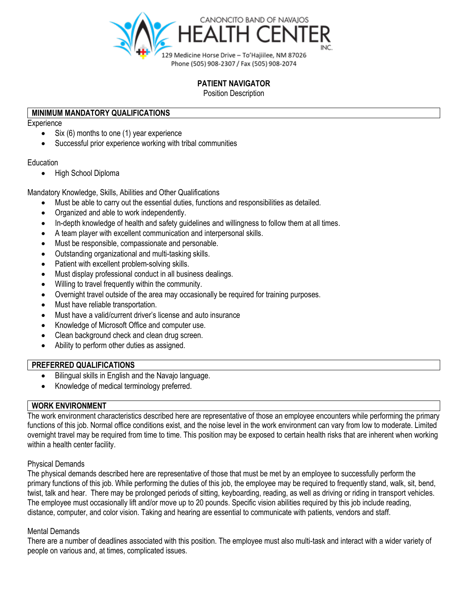

## **PATIENT NAVIGATOR**

Position Description

### **MINIMUM MANDATORY QUALIFICATIONS**

**Experience** 

- Six (6) months to one (1) year experience
- Successful prior experience working with tribal communities

#### Education

• High School Diploma

Mandatory Knowledge, Skills, Abilities and Other Qualifications

- Must be able to carry out the essential duties, functions and responsibilities as detailed.
- Organized and able to work independently.
- In-depth knowledge of health and safety guidelines and willingness to follow them at all times.
- A team player with excellent communication and interpersonal skills.
- Must be responsible, compassionate and personable.
- Outstanding organizational and multi-tasking skills.
- Patient with excellent problem-solving skills.
- Must display professional conduct in all business dealings.
- Willing to travel frequently within the community.
- Overnight travel outside of the area may occasionally be required for training purposes.
- Must have reliable transportation.
- Must have a valid/current driver's license and auto insurance
- Knowledge of Microsoft Office and computer use.
- Clean background check and clean drug screen.
- Ability to perform other duties as assigned.

#### **PREFERRED QUALIFICATIONS**

- Bilingual skills in English and the Navajo language.
- Knowledge of medical terminology preferred.

## **WORK ENVIRONMENT**

The work environment characteristics described here are representative of those an employee encounters while performing the primary functions of this job. Normal office conditions exist, and the noise level in the work environment can vary from low to moderate. Limited overnight travel may be required from time to time. This position may be exposed to certain health risks that are inherent when working within a health center facility.

#### Physical Demands

The physical demands described here are representative of those that must be met by an employee to successfully perform the primary functions of this job. While performing the duties of this job, the employee may be required to frequently stand, walk, sit, bend, twist, talk and hear. There may be prolonged periods of sitting, keyboarding, reading, as well as driving or riding in transport vehicles. The employee must occasionally lift and/or move up to 20 pounds. Specific vision abilities required by this job include reading, distance, computer, and color vision. Taking and hearing are essential to communicate with patients, vendors and staff.

#### Mental Demands

There are a number of deadlines associated with this position. The employee must also multi-task and interact with a wider variety of people on various and, at times, complicated issues.